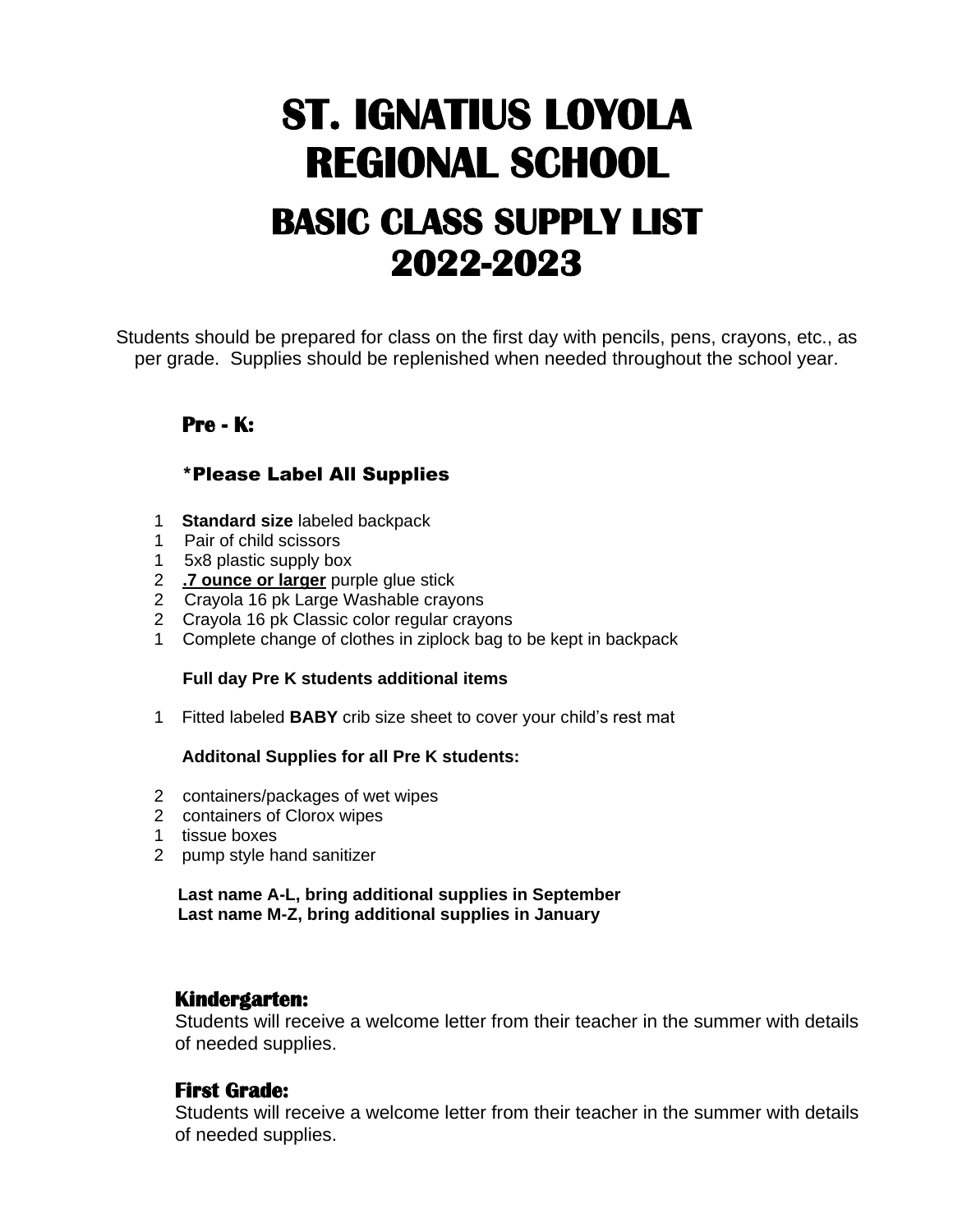# **ST. IGNATIUS LOYOLA REGIONAL SCHOOL**

# **BASIC CLASS SUPPLY LIST 2022-2023**

Students should be prepared for class on the first day with pencils, pens, crayons, etc., as per grade. Supplies should be replenished when needed throughout the school year.

# **Pre - K:**

#### \*Please Label All Supplies

- 1 **Standard size** labeled backpack
- 1 Pair of child scissors
- 1 5x8 plastic supply box
- 2 **.7 ounce or larger** purple glue stick
- 2 Crayola 16 pk Large Washable crayons
- 2 Crayola 16 pk Classic color regular crayons
- 1 Complete change of clothes in ziplock bag to be kept in backpack

#### **Full day Pre K students additional items**

1 Fitted labeled **BABY** crib size sheet to cover your child's rest mat

#### **Additonal Supplies for all Pre K students:**

- 2 containers/packages of wet wipes
- 2 containers of Clorox wipes
- 1 tissue boxes
- 2 pump style hand sanitizer

 **Last name A-L, bring additional supplies in September Last name M-Z, bring additional supplies in January**

#### **Kindergarten:**

Students will receive a welcome letter from their teacher in the summer with details of needed supplies.

# **First Grade:**

Students will receive a welcome letter from their teacher in the summer with details of needed supplies.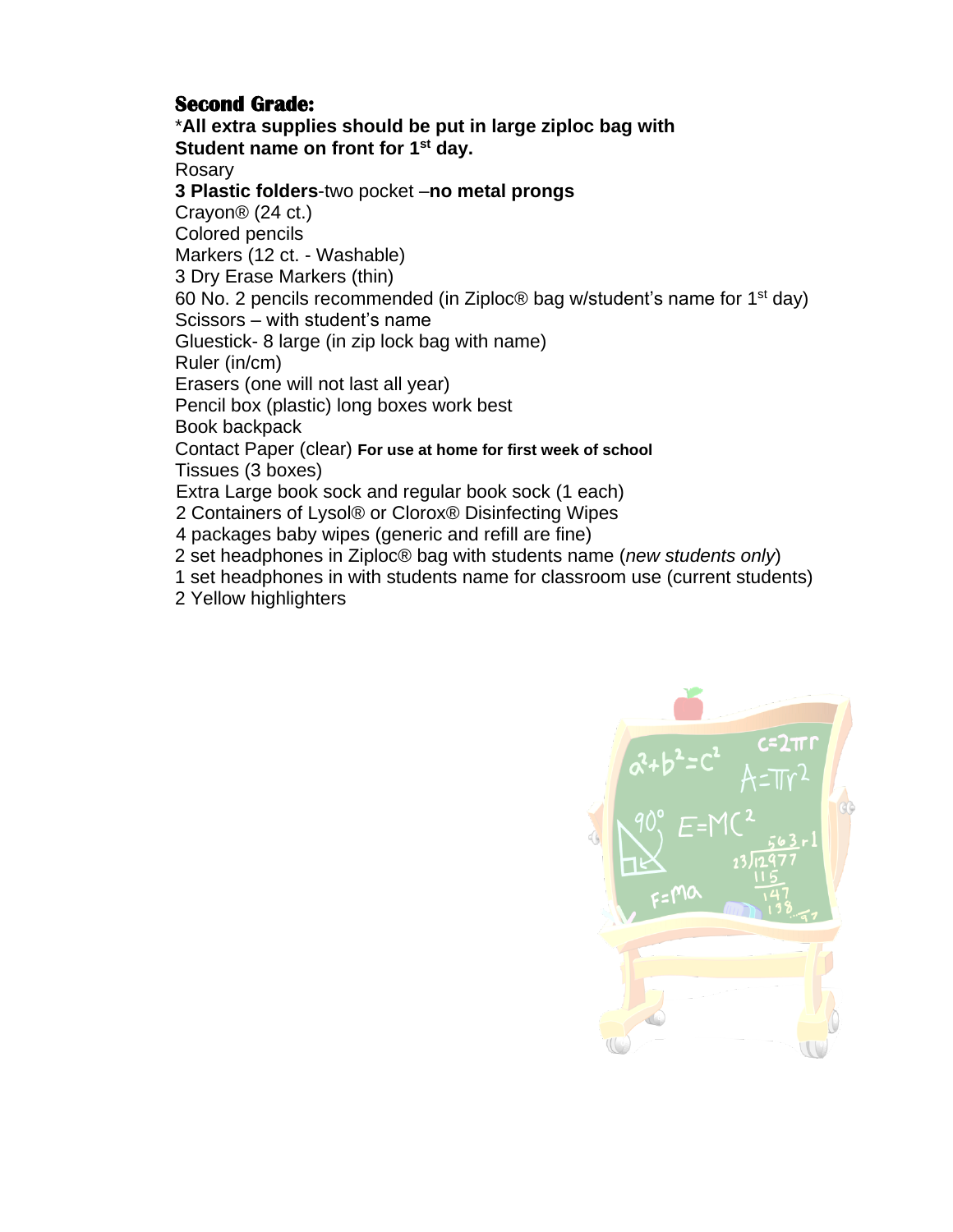#### **Second Grade:**

\***All extra supplies should be put in large ziploc bag with Student name on front for 1st day.** Rosary **3 Plastic folders**-two pocket –**no metal prongs** Crayon® (24 ct.) Colored pencils Markers (12 ct. - Washable) 3 Dry Erase Markers (thin) 60 No. 2 pencils recommended (in Ziploc® bag w/student's name for 1st day) Scissors – with student's name Gluestick- 8 large (in zip lock bag with name) Ruler (in/cm) Erasers (one will not last all year) Pencil box (plastic) long boxes work best Book backpack Contact Paper (clear) **For use at home for first week of school** Tissues (3 boxes) Extra Large book sock and regular book sock (1 each) 2 Containers of Lysol® or Clorox® Disinfecting Wipes 4 packages baby wipes (generic and refill are fine) 2 set headphones in Ziploc® bag with students name (*new students only*) 1 set headphones in with students name for classroom use (current students)

2 Yellow highlighters

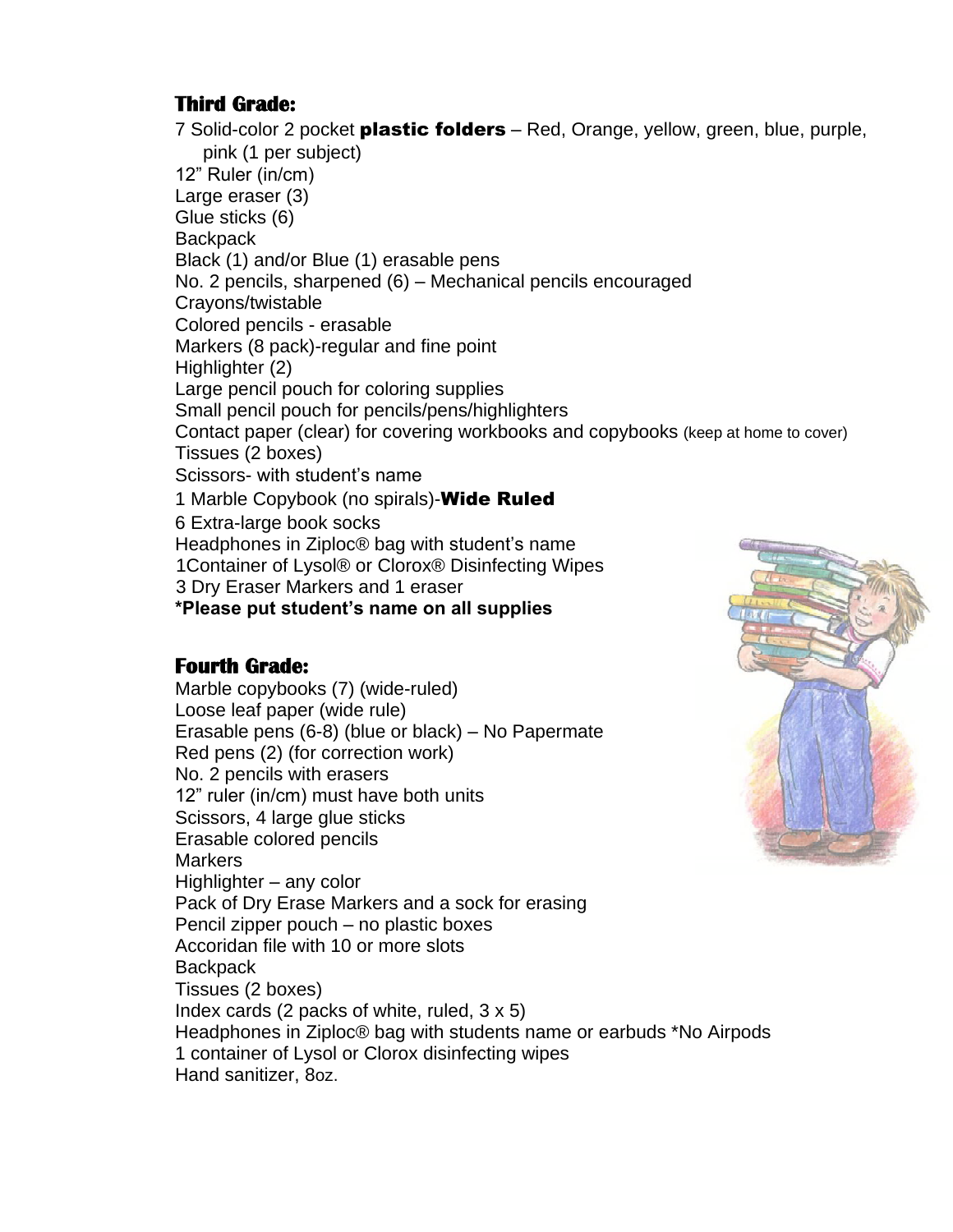# **Third Grade:**

7 Solid-color 2 pocket **plastic folders** – Red, Orange, yellow, green, blue, purple, pink (1 per subject) 12" Ruler (in/cm) Large eraser (3) Glue sticks (6) **Backpack** Black (1) and/or Blue (1) erasable pens No. 2 pencils, sharpened (6) – Mechanical pencils encouraged Crayons/twistable Colored pencils - erasable Markers (8 pack)-regular and fine point Highlighter (2) Large pencil pouch for coloring supplies Small pencil pouch for pencils/pens/highlighters Contact paper (clear) for covering workbooks and copybooks (keep at home to cover) Tissues (2 boxes) Scissors- with student's name 1 Marble Copybook (no spirals)-Wide Ruled 6 Extra-large book socks Headphones in Ziploc® bag with student's name 1Container of Lysol® or Clorox® Disinfecting Wipes 3 Dry Eraser Markers and 1 eraser **\*Please put student's name on all supplies**

# **Fourth Grade:**

Marble copybooks (7) (wide-ruled) Loose leaf paper (wide rule) Erasable pens (6-8) (blue or black) – No Papermate Red pens (2) (for correction work) No. 2 pencils with erasers 12" ruler (in/cm) must have both units Scissors, 4 large glue sticks Erasable colored pencils **Markers** Highlighter – any color Pack of Dry Erase Markers and a sock for erasing Pencil zipper pouch – no plastic boxes Accoridan file with 10 or more slots **Backpack** Tissues (2 boxes) Index cards (2 packs of white, ruled, 3 x 5) Headphones in Ziploc® bag with students name or earbuds \*No Airpods 1 container of Lysol or Clorox disinfecting wipes Hand sanitizer, 8oz.